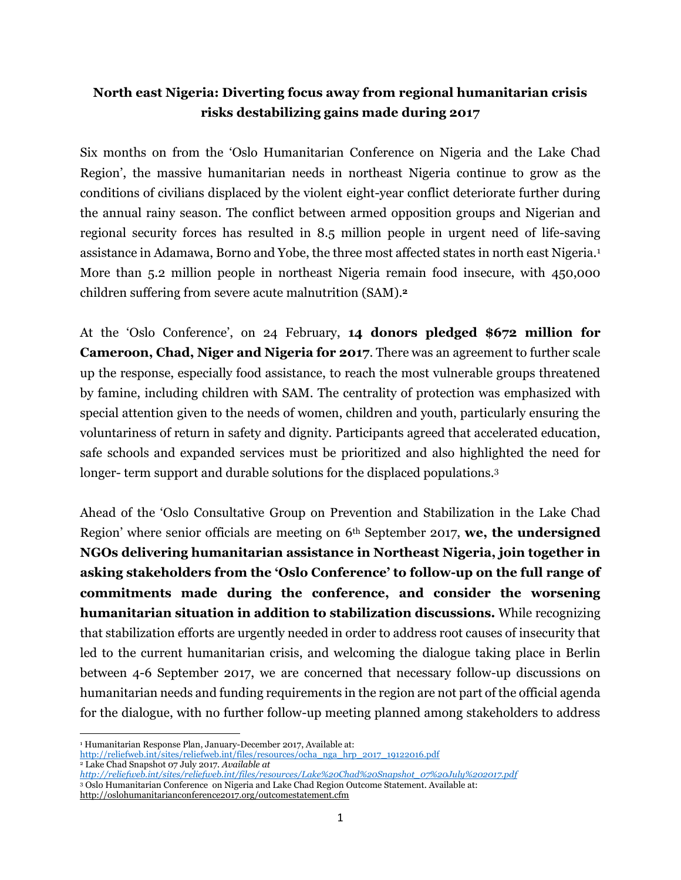# **North east Nigeria: Diverting focus away from regional humanitarian crisis risks destabilizing gains made during 2017**

Six months on from the 'Oslo Humanitarian Conference on Nigeria and the Lake Chad Region', the massive humanitarian needs in northeast Nigeria continue to grow as the conditions of civilians displaced by the violent eight-year conflict deteriorate further during the annual rainy season. The conflict between armed opposition groups and Nigerian and regional security forces has resulted in 8.5 million people in urgent need of life-saving assistance in Adamawa, Borno and Yobe, the three most affected states in north east Nigeria.<sup>1</sup> More than 5.2 million people in northeast Nigeria remain food insecure, with 450,000 children suffering from severe acute malnutrition (SAM). **2**

At the 'Oslo Conference', on 24 February, **14 donors pledged \$672 million for Cameroon, Chad, Niger and Nigeria for 2017**. There was an agreement to further scale up the response, especially food assistance, to reach the most vulnerable groups threatened by famine, including children with SAM. The centrality of protection was emphasized with special attention given to the needs of women, children and youth, particularly ensuring the voluntariness of return in safety and dignity. Participants agreed that accelerated education, safe schools and expanded services must be prioritized and also highlighted the need for longer- term support and durable solutions for the displaced populations.<sup>3</sup>

Ahead of the 'Oslo Consultative Group on Prevention and Stabilization in the Lake Chad Region' where senior officials are meeting on 6th September 2017, **we, the undersigned NGOs delivering humanitarian assistance in Northeast Nigeria, join together in asking stakeholders from the 'Oslo Conference' to follow-up on the full range of commitments made during the conference, and consider the worsening humanitarian situation in addition to stabilization discussions.** While recognizing that stabilization efforts are urgently needed in order to address root causes of insecurity that led to the current humanitarian crisis, and welcoming the dialogue taking place in Berlin between 4-6 September 2017, we are concerned that necessary follow-up discussions on humanitarian needs and funding requirements in the region are not part of the official agenda for the dialogue, with no further follow-up meeting planned among stakeholders to address

 $\overline{a}$ 

<sup>&</sup>lt;sup>1</sup> Humanitarian Response Plan, January-December 2017, Available at:

[http://reliefweb.int/sites/reliefweb.int/files/resources/ocha\\_nga\\_hrp\\_2017\\_19122016.pdf](http://reliefweb.int/sites/reliefweb.int/files/resources/ocha_nga_hrp_2017_19122016.pdf)

<sup>2</sup> Lake Chad Snapshot 07 July 2017. *Available at* 

*[http://reliefweb.int/sites/reliefweb.int/files/resources/Lake%20Chad%20Snapshot\\_07%20July%202017.pdf](http://reliefweb.int/sites/reliefweb.int/files/resources/Lake%20Chad%20Snapshot_07%20July%202017.pdf)*

<sup>3</sup> Oslo Humanitarian Conference on Nigeria and Lake Chad Region Outcome Statement. Available at:

<http://oslohumanitarianconference2017.org/outcomestatement.cfm>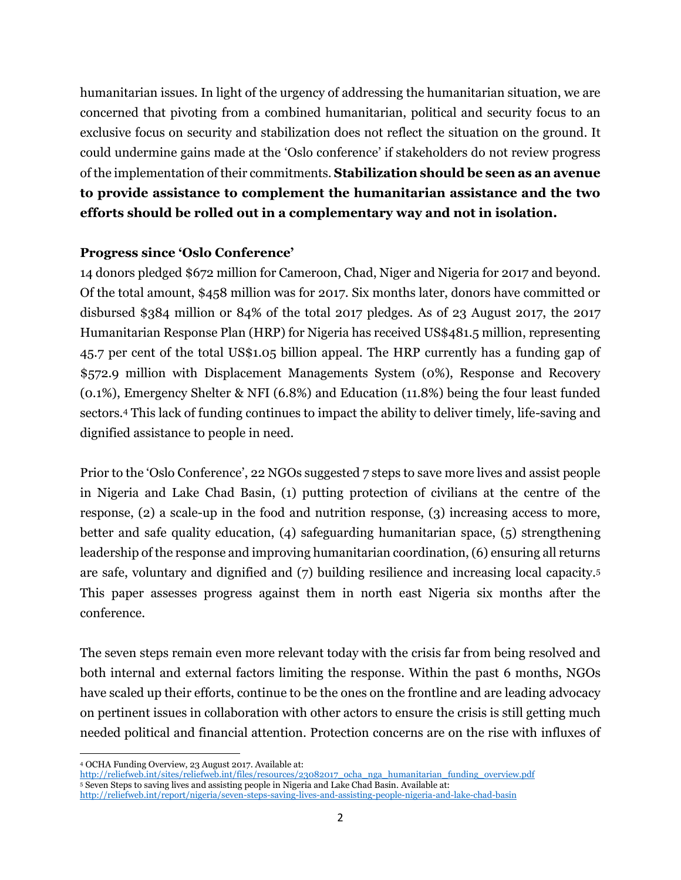humanitarian issues*.* In light of the urgency of addressing the humanitarian situation, we are concerned that pivoting from a combined humanitarian, political and security focus to an exclusive focus on security and stabilization does not reflect the situation on the ground. It could undermine gains made at the 'Oslo conference' if stakeholders do not review progress of the implementation of their commitments. **Stabilization should be seen as an avenue to provide assistance to complement the humanitarian assistance and the two efforts should be rolled out in a complementary way and not in isolation.** 

#### **Progress since 'Oslo Conference'**

14 donors pledged \$672 million for Cameroon, Chad, Niger and Nigeria for 2017 and beyond. Of the total amount, \$458 million was for 2017. Six months later, donors have committed or disbursed \$384 million or 84% of the total 2017 pledges. As of 23 August 2017, the 2017 Humanitarian Response Plan (HRP) for Nigeria has received US\$481.5 million, representing 45.7 per cent of the total US\$1.05 billion appeal. The HRP currently has a funding gap of \$572.9 million with Displacement Managements System (0%), Response and Recovery (0.1%), Emergency Shelter & NFI (6.8%) and Education (11.8%) being the four least funded sectors.<sup>4</sup> This lack of funding continues to impact the ability to deliver timely, life-saving and dignified assistance to people in need.

Prior to the 'Oslo Conference', 22 NGOs suggested 7 steps to save more lives and assist people in Nigeria and Lake Chad Basin, (1) putting protection of civilians at the centre of the response, (2) a scale-up in the food and nutrition response, (3) increasing access to more, better and safe quality education, (4) safeguarding humanitarian space, (5) strengthening leadership of the response and improving humanitarian coordination, (6) ensuring all returns are safe, voluntary and dignified and (7) building resilience and increasing local capacity.<sup>5</sup> This paper assesses progress against them in north east Nigeria six months after the conference.

The seven steps remain even more relevant today with the crisis far from being resolved and both internal and external factors limiting the response. Within the past 6 months, NGOs have scaled up their efforts, continue to be the ones on the frontline and are leading advocacy on pertinent issues in collaboration with other actors to ensure the crisis is still getting much needed political and financial attention. Protection concerns are on the rise with influxes of

l <sup>4</sup> OCHA Funding Overview, 23 August 2017. Available at:

[http://reliefweb.int/sites/reliefweb.int/files/resources/23082017\\_ocha\\_nga\\_humanitarian\\_funding\\_overview.pdf](http://reliefweb.int/sites/reliefweb.int/files/resources/23082017_ocha_nga_humanitarian_funding_overview.pdf) <sup>5</sup> Seven Steps to saving lives and assisting people in Nigeria and Lake Chad Basin. Available at: <http://reliefweb.int/report/nigeria/seven-steps-saving-lives-and-assisting-people-nigeria-and-lake-chad-basin>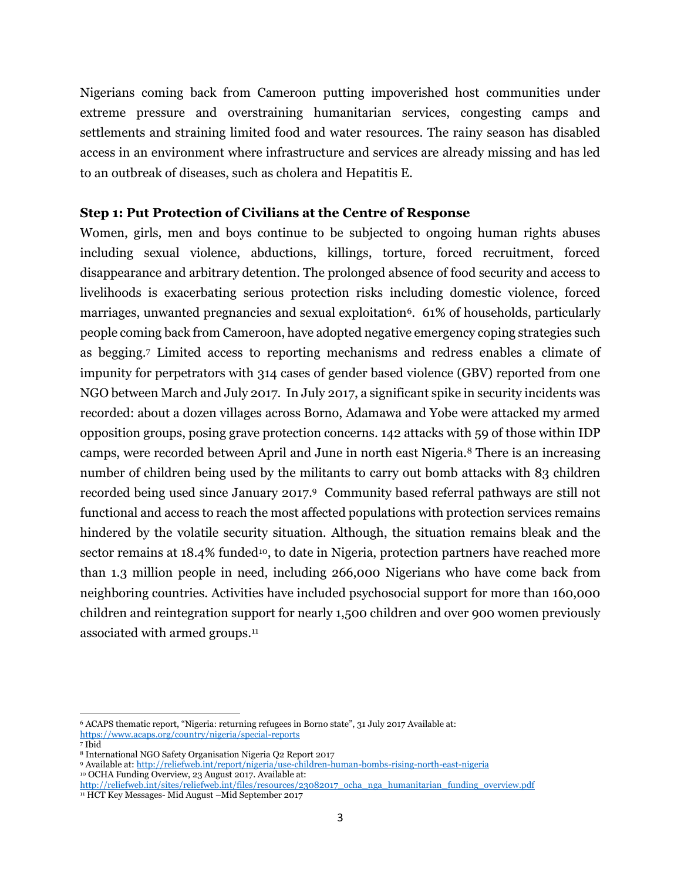Nigerians coming back from Cameroon putting impoverished host communities under extreme pressure and overstraining humanitarian services, congesting camps and settlements and straining limited food and water resources. The rainy season has disabled access in an environment where infrastructure and services are already missing and has led to an outbreak of diseases, such as cholera and Hepatitis E.

#### **Step 1: Put Protection of Civilians at the Centre of Response**

Women, girls, men and boys continue to be subjected to ongoing human rights abuses including sexual violence, abductions, killings, torture, forced recruitment, forced disappearance and arbitrary detention. The prolonged absence of food security and access to livelihoods is exacerbating serious protection risks including domestic violence, forced marriages, unwanted pregnancies and sexual exploitation<sup>6</sup>. 61% of households, particularly people coming back from Cameroon, have adopted negative emergency coping strategies such as begging.<sup>7</sup> Limited access to reporting mechanisms and redress enables a climate of impunity for perpetrators with 314 cases of gender based violence (GBV) reported from one NGO between March and July 2017. In July 2017, a significant spike in security incidents was recorded: about a dozen villages across Borno, Adamawa and Yobe were attacked my armed opposition groups, posing grave protection concerns. 142 attacks with 59 of those within IDP camps, were recorded between April and June in north east Nigeria.<sup>8</sup> There is an increasing number of children being used by the militants to carry out bomb attacks with 83 children recorded being used since January 2017. <sup>9</sup> Community based referral pathways are still not functional and access to reach the most affected populations with protection services remains hindered by the volatile security situation. Although, the situation remains bleak and the sector remains at 18.4% funded<sup>10</sup>, to date in Nigeria, protection partners have reached more than 1.3 million people in need, including 266,000 Nigerians who have come back from neighboring countries. Activities have included psychosocial support for more than 160,000 children and reintegration support for nearly 1,500 children and over 900 women previously associated with armed groups.<sup>11</sup>

l <sup>6</sup> ACAPS thematic report, "Nigeria: returning refugees in Borno state", 31 July 2017 Available at: <https://www.acaps.org/country/nigeria/special-reports>

<sup>7</sup> Ibid

<sup>8</sup> International NGO Safety Organisation Nigeria Q2 Report 2017

<sup>9</sup> Available at[: http://reliefweb.int/report/nigeria/use-children-human-bombs-rising-north-east-nigeria](http://reliefweb.int/report/nigeria/use-children-human-bombs-rising-north-east-nigeria) <sup>10</sup> OCHA Funding Overview, 23 August 2017. Available at:

[http://reliefweb.int/sites/reliefweb.int/files/resources/23082017\\_ocha\\_nga\\_humanitarian\\_funding\\_overview.pdf](http://reliefweb.int/sites/reliefweb.int/files/resources/23082017_ocha_nga_humanitarian_funding_overview.pdf) <sup>11</sup> HCT Key Messages- Mid August –Mid September 2017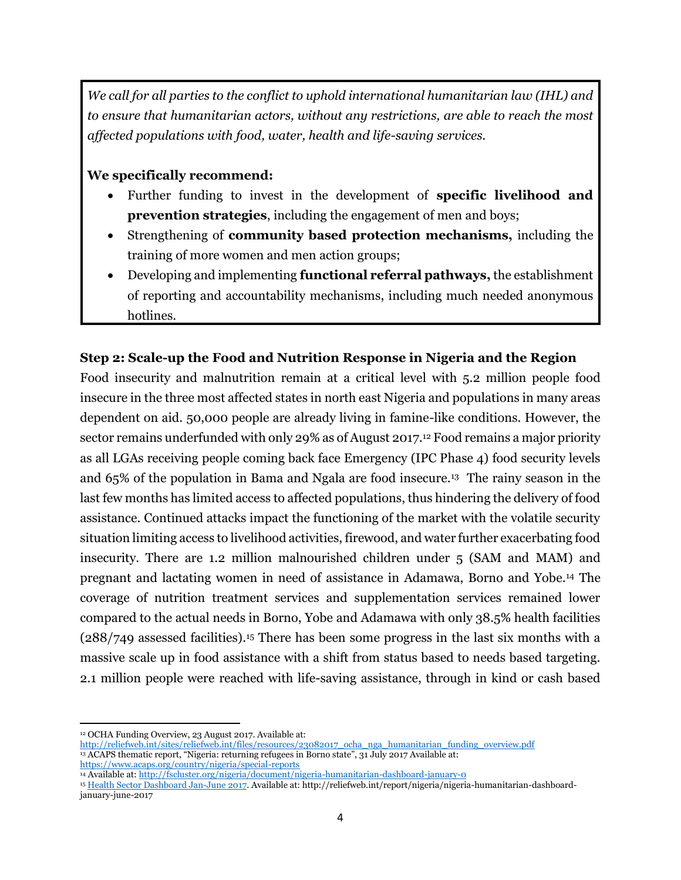*We call for all parties to the conflict to uphold international humanitarian law (IHL) and to ensure that humanitarian actors, without any restrictions, are able to reach the most affected populations with food, water, health and life-saving services.*

### **We specifically recommend:**

- Further funding to invest in the development of **specific livelihood and prevention strategies**, including the engagement of men and boys;
- Strengthening of **community based protection mechanisms,** including the training of more women and men action groups;
- Developing and implementing **functional referral pathways,** the establishment of reporting and accountability mechanisms, including much needed anonymous hotlines.

## **Step 2: Scale-up the Food and Nutrition Response in Nigeria and the Region**

Food insecurity and malnutrition remain at a critical level with 5.2 million people food insecure in the three most affected states in north east Nigeria and populations in many areas dependent on aid. 50,000 people are already living in famine-like conditions. However, the sector remains underfunded with only 29% as of August 2017. <sup>12</sup> Food remains a major priority as all LGAs receiving people coming back face Emergency (IPC Phase 4) food security levels and 65% of the population in Bama and Ngala are food insecure.<sup>13</sup> The rainy season in the last few months has limited access to affected populations, thus hindering the delivery of food assistance. Continued attacks impact the functioning of the market with the volatile security situation limiting access to livelihood activities, firewood, and water further exacerbating food insecurity. There are 1.2 million malnourished children under 5 (SAM and MAM) and pregnant and lactating women in need of assistance in Adamawa, Borno and Yobe.<sup>14</sup> The coverage of nutrition treatment services and supplementation services remained lower compared to the actual needs in Borno, Yobe and Adamawa with only 38.5% health facilities (288/749 assessed facilities). <sup>15</sup> There has been some progress in the last six months with a massive scale up in food assistance with a shift from status based to needs based targeting. 2.1 million people were reached with life-saving assistance, through in kind or cash based

<https://www.acaps.org/country/nigeria/special-reports>

 $\overline{\phantom{a}}$ <sup>12</sup> OCHA Funding Overview, 23 August 2017. Available at:

[http://reliefweb.int/sites/reliefweb.int/files/resources/23082017\\_ocha\\_nga\\_humanitarian\\_funding\\_overview.pdf](http://reliefweb.int/sites/reliefweb.int/files/resources/23082017_ocha_nga_humanitarian_funding_overview.pdf) <sup>13</sup> ACAPS thematic report, "Nigeria: returning refugees in Borno state", 31 July 2017 Available at:

<sup>14</sup> Available at[: http://fscluster.org/nigeria/document/nigeria-humanitarian-dashboard-january-0](http://fscluster.org/nigeria/document/nigeria-humanitarian-dashboard-january-0)

<sup>15</sup> [Health Sector Dashboard](https://www.humanitarianresponse.info/system/files/documents/files/08252017_health_sector_nga_humanitarian_dashboard_july.pdf) Jan-June 2017. Available at: http://reliefweb.int/report/nigeria/nigeria-humanitarian-dashboardjanuary-june-2017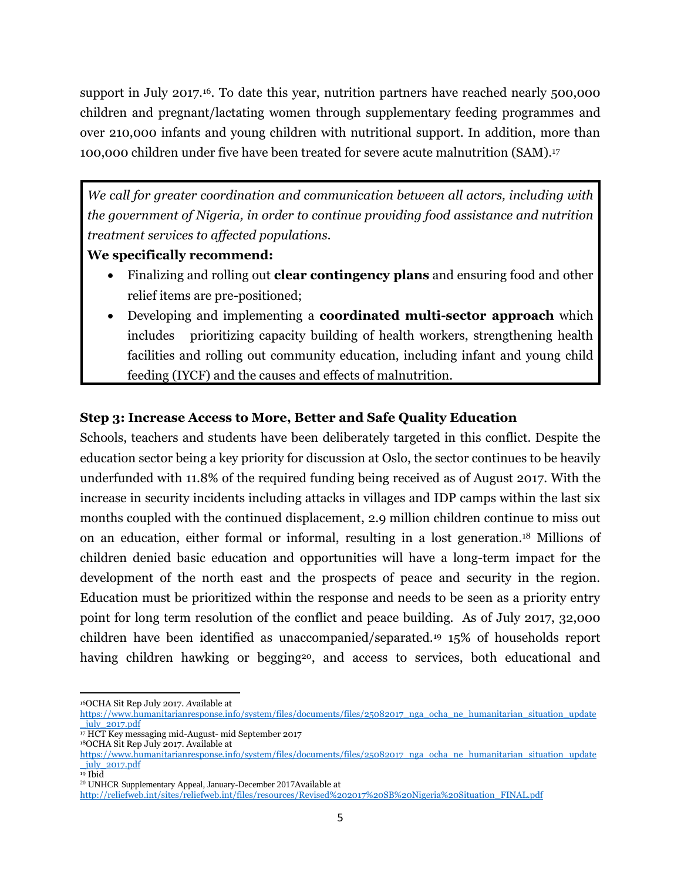support in July 2017.<sup>16</sup>. To date this year, nutrition partners have reached nearly 500,000 children and pregnant/lactating women through supplementary feeding programmes and over 210,000 infants and young children with nutritional support. In addition, more than 100,000 children under five have been treated for severe acute malnutrition (SAM).<sup>17</sup>

*We call for greater coordination and communication between all actors, including with the government of Nigeria, in order to continue providing food assistance and nutrition treatment services to affected populations.*

## **We specifically recommend:**

- Finalizing and rolling out **clear contingency plans** and ensuring food and other relief items are pre-positioned;
- Developing and implementing a **coordinated multi-sector approach** which includes prioritizing capacity building of health workers, strengthening health facilities and rolling out community education, including infant and young child feeding (IYCF) and the causes and effects of malnutrition.

## **Step 3: Increase Access to More, Better and Safe Quality Education**

Schools, teachers and students have been deliberately targeted in this conflict. Despite the education sector being a key priority for discussion at Oslo, the sector continues to be heavily underfunded with 11.8% of the required funding being received as of August 2017. With the increase in security incidents including attacks in villages and IDP camps within the last six months coupled with the continued displacement, 2.9 million children continue to miss out on an education, either formal or informal, resulting in a lost generation. <sup>18</sup> Millions of children denied basic education and opportunities will have a long-term impact for the development of the north east and the prospects of peace and security in the region. Education must be prioritized within the response and needs to be seen as a priority entry point for long term resolution of the conflict and peace building. As of July 2017, 32,000 children have been identified as unaccompanied/separated. <sup>19</sup> 15% of households report having children hawking or begging<sup>20</sup>, and access to services, both educational and

 $\overline{\phantom{a}}$ <sup>16</sup>OCHA Sit Rep July 2017. *A*vailable at

[https://www.humanitarianresponse.info/system/files/documents/files/25082017\\_nga\\_ocha\\_ne\\_humanitarian\\_situation\\_update](https://www.humanitarianresponse.info/system/files/documents/files/25082017_nga_ocha_ne_humanitarian_situation_update_july_2017.pdf) [\\_july\\_2017.pdf](https://www.humanitarianresponse.info/system/files/documents/files/25082017_nga_ocha_ne_humanitarian_situation_update_july_2017.pdf)

<sup>&</sup>lt;sup>17</sup> HCT Key messaging mid-August- mid September 2017

<sup>18</sup>OCHA Sit Rep July 2017. Available at

[https://www.humanitarianresponse.info/system/files/documents/files/25082017\\_nga\\_ocha\\_ne\\_humanitarian\\_situation\\_update](https://www.humanitarianresponse.info/system/files/documents/files/25082017_nga_ocha_ne_humanitarian_situation_update_july_2017.pdf) [\\_july\\_2017.pdf](https://www.humanitarianresponse.info/system/files/documents/files/25082017_nga_ocha_ne_humanitarian_situation_update_july_2017.pdf) <sup>19</sup> Ibid

<sup>20</sup> UNHCR Supplementary Appeal, January-December 2017Available at

[http://reliefweb.int/sites/reliefweb.int/files/resources/Revised%202017%20SB%20Nigeria%20Situation\\_FINAL.pdf](http://reliefweb.int/sites/reliefweb.int/files/resources/Revised%202017%20SB%20Nigeria%20Situation_FINAL.pdf)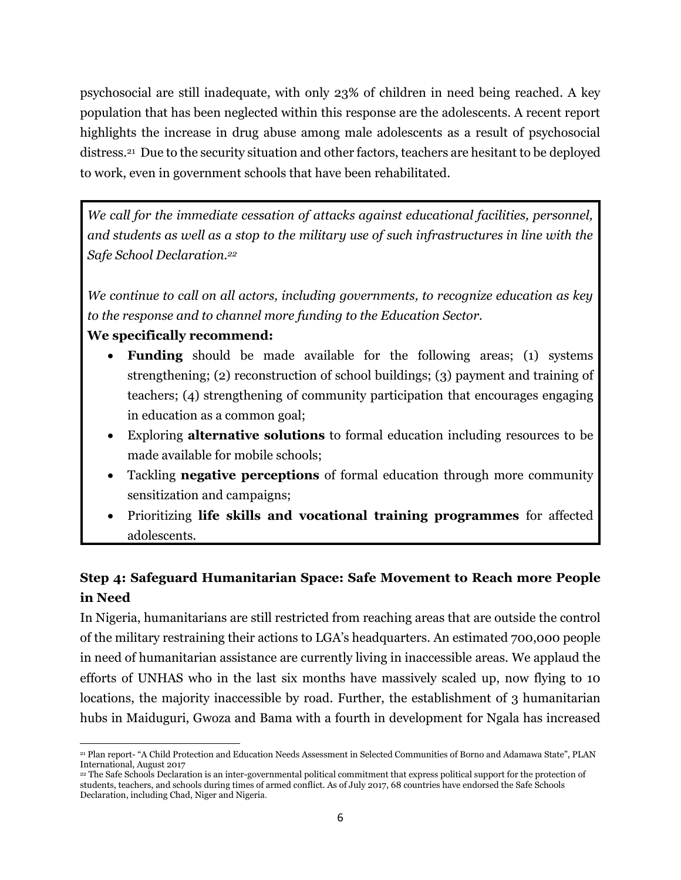psychosocial are still inadequate, with only 23% of children in need being reached. A key population that has been neglected within this response are the adolescents. A recent report highlights the increase in drug abuse among male adolescents as a result of psychosocial distress.<sup>21</sup> Due to the security situation and other factors, teachers are hesitant to be deployed to work, even in government schools that have been rehabilitated.

*We call for the immediate cessation of attacks against educational facilities, personnel, and students as well as a stop to the military use of such infrastructures in line with the Safe School Declaration.<sup>22</sup>*

*We continue to call on all actors, including governments, to recognize education as key to the response and to channel more funding to the Education Sector.*

## **We specifically recommend:**

- **Funding** should be made available for the following areas; (1) systems strengthening; (2) reconstruction of school buildings; (3) payment and training of teachers; (4) strengthening of community participation that encourages engaging in education as a common goal;
- Exploring **alternative solutions** to formal education including resources to be made available for mobile schools;
- Tackling **negative perceptions** of formal education through more community sensitization and campaigns;
- Prioritizing **life skills and vocational training programmes** for affected adolescents.

# **Step 4: Safeguard Humanitarian Space: Safe Movement to Reach more People in Need**

In Nigeria, humanitarians are still restricted from reaching areas that are outside the control of the military restraining their actions to LGA's headquarters. An estimated 700,000 people in need of humanitarian assistance are currently living in inaccessible areas. We applaud the efforts of UNHAS who in the last six months have massively scaled up, now flying to 10 locations, the majority inaccessible by road. Further, the establishment of 3 humanitarian hubs in Maiduguri, Gwoza and Bama with a fourth in development for Ngala has increased

 $\overline{a}$ <sup>21</sup> Plan report- "A Child Protection and Education Needs Assessment in Selected Communities of Borno and Adamawa State", PLAN International, August 2017

<sup>22</sup> The Safe Schools Declaration is an inter-governmental political commitment that express political support for the protection of students, teachers, and schools during times of armed conflict. As of July 2017, 68 countries have endorsed the Safe Schools Declaration, including Chad, Niger and Nigeria.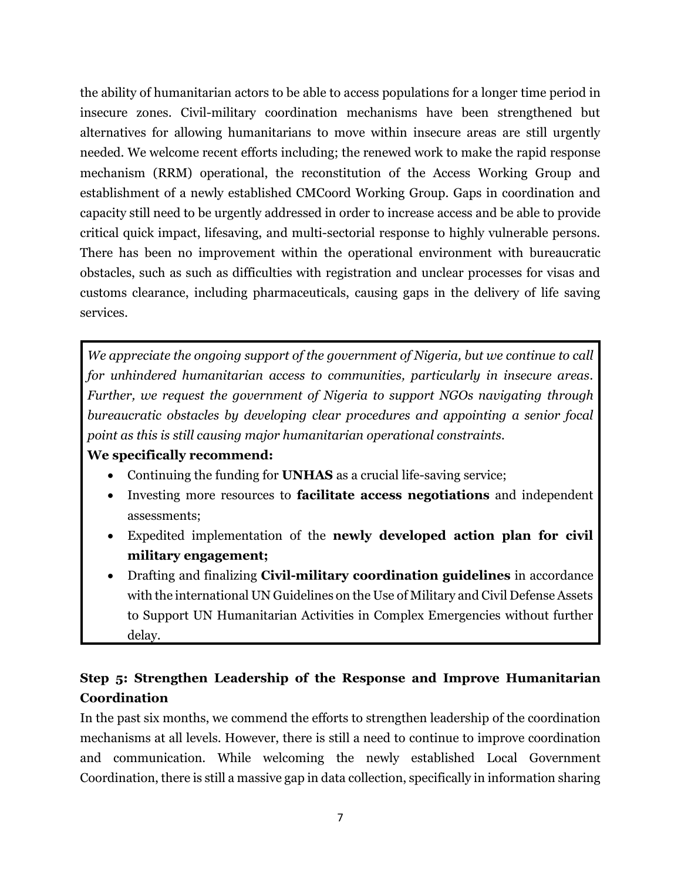the ability of humanitarian actors to be able to access populations for a longer time period in insecure zones. Civil-military coordination mechanisms have been strengthened but alternatives for allowing humanitarians to move within insecure areas are still urgently needed. We welcome recent efforts including; the renewed work to make the rapid response mechanism (RRM) operational, the reconstitution of the Access Working Group and establishment of a newly established CMCoord Working Group. Gaps in coordination and capacity still need to be urgently addressed in order to increase access and be able to provide critical quick impact, lifesaving, and multi-sectorial response to highly vulnerable persons. There has been no improvement within the operational environment with bureaucratic obstacles, such as such as difficulties with registration and unclear processes for visas and customs clearance, including pharmaceuticals, causing gaps in the delivery of life saving services.

*We appreciate the ongoing support of the government of Nigeria, but we continue to call for unhindered humanitarian access to communities, particularly in insecure areas. Further, we request the government of Nigeria to support NGOs navigating through bureaucratic obstacles by developing clear procedures and appointing a senior focal point as this is still causing major humanitarian operational constraints.*

## **We specifically recommend:**

- Continuing the funding for **UNHAS** as a crucial life-saving service;
- Investing more resources to **facilitate access negotiations** and independent assessments;
- Expedited implementation of the **newly developed action plan for civil military engagement;**
- Drafting and finalizing **Civil-military coordination guidelines** in accordance with the international UN Guidelines on the Use of Military and Civil Defense Assets to Support UN Humanitarian Activities in Complex Emergencies without further delay.

# **Step 5: Strengthen Leadership of the Response and Improve Humanitarian Coordination**

In the past six months, we commend the efforts to strengthen leadership of the coordination mechanisms at all levels. However, there is still a need to continue to improve coordination and communication. While welcoming the newly established Local Government Coordination, there is still a massive gap in data collection, specifically in information sharing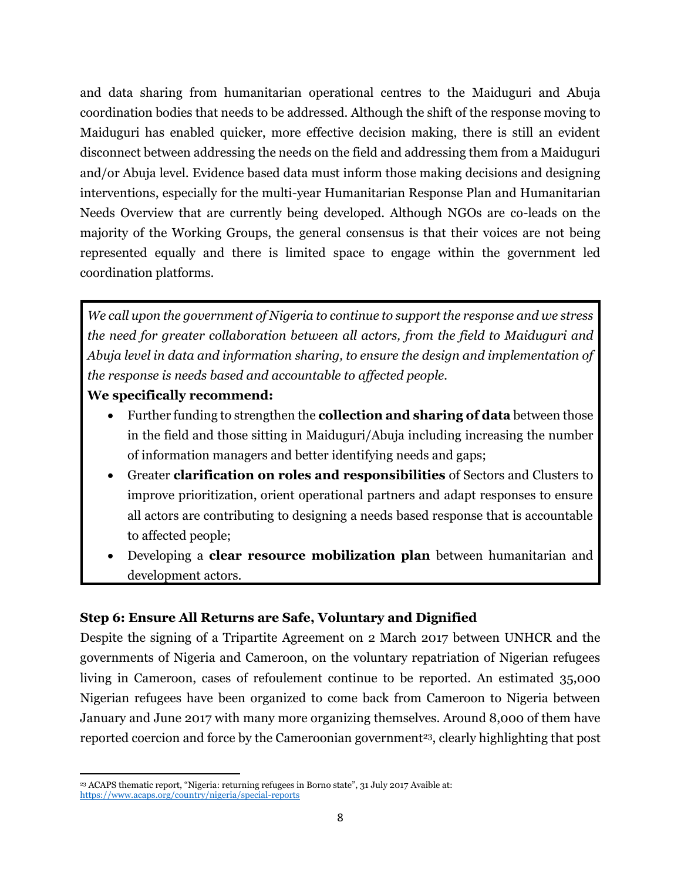and data sharing from humanitarian operational centres to the Maiduguri and Abuja coordination bodies that needs to be addressed. Although the shift of the response moving to Maiduguri has enabled quicker, more effective decision making, there is still an evident disconnect between addressing the needs on the field and addressing them from a Maiduguri and/or Abuja level. Evidence based data must inform those making decisions and designing interventions, especially for the multi-year Humanitarian Response Plan and Humanitarian Needs Overview that are currently being developed. Although NGOs are co-leads on the majority of the Working Groups, the general consensus is that their voices are not being represented equally and there is limited space to engage within the government led coordination platforms.

*We call upon the government of Nigeria to continue to support the response and we stress the need for greater collaboration between all actors, from the field to Maiduguri and Abuja level in data and information sharing, to ensure the design and implementation of the response is needs based and accountable to affected people.*

### **We specifically recommend:**

- Further funding to strengthen the **collection and sharing of data** between those in the field and those sitting in Maiduguri/Abuja including increasing the number of information managers and better identifying needs and gaps;
- Greater **clarification on roles and responsibilities** of Sectors and Clusters to improve prioritization, orient operational partners and adapt responses to ensure all actors are contributing to designing a needs based response that is accountable to affected people;
- Developing a **clear resource mobilization plan** between humanitarian and development actors.

### **Step 6: Ensure All Returns are Safe, Voluntary and Dignified**

Despite the signing of a Tripartite Agreement on 2 March 2017 between UNHCR and the governments of Nigeria and Cameroon, on the voluntary repatriation of Nigerian refugees living in Cameroon, cases of refoulement continue to be reported. An estimated 35,000 Nigerian refugees have been organized to come back from Cameroon to Nigeria between January and June 2017 with many more organizing themselves. Around 8,000 of them have reported coercion and force by the Cameroonian government<sup>23</sup>, clearly highlighting that post

 $\overline{\phantom{a}}$ <sup>23</sup> ACAPS thematic report, "Nigeria: returning refugees in Borno state", 31 July 2017 Avaible at: <https://www.acaps.org/country/nigeria/special-reports>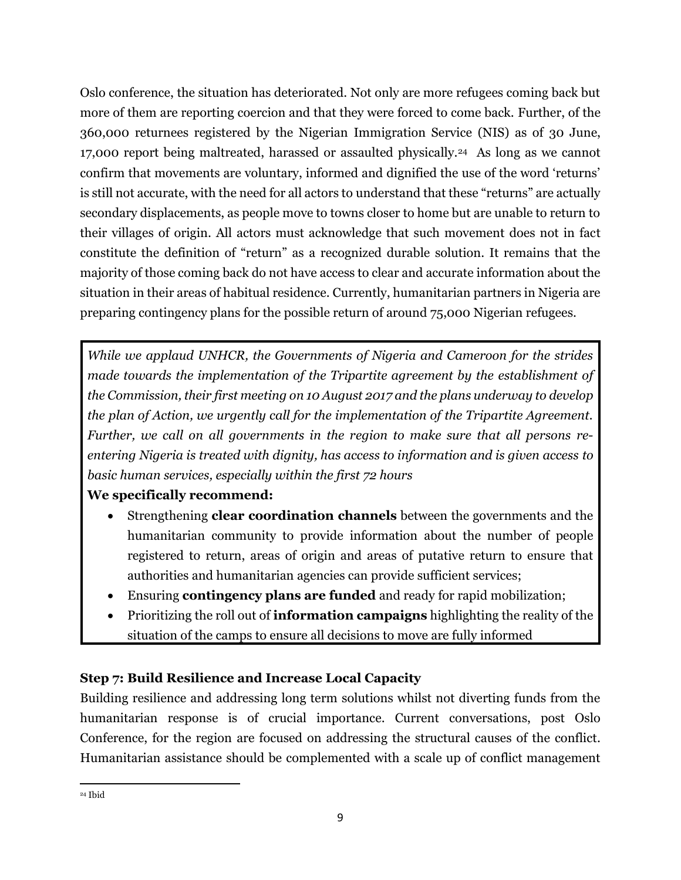Oslo conference, the situation has deteriorated. Not only are more refugees coming back but more of them are reporting coercion and that they were forced to come back. Further, of the 360,000 returnees registered by the Nigerian Immigration Service (NIS) as of 30 June, 17,000 report being maltreated, harassed or assaulted physically.24 As long as we cannot confirm that movements are voluntary, informed and dignified the use of the word 'returns' is still not accurate, with the need for all actors to understand that these "returns" are actually secondary displacements, as people move to towns closer to home but are unable to return to their villages of origin. All actors must acknowledge that such movement does not in fact constitute the definition of "return" as a recognized durable solution. It remains that the majority of those coming back do not have access to clear and accurate information about the situation in their areas of habitual residence. Currently, humanitarian partners in Nigeria are preparing contingency plans for the possible return of around 75,000 Nigerian refugees.

*While we applaud UNHCR, the Governments of Nigeria and Cameroon for the strides made towards the implementation of the Tripartite agreement by the establishment of the Commission, their first meeting on 10 August 2017 and the plans underway to develop the plan of Action, we urgently call for the implementation of the Tripartite Agreement. Further, we call on all governments in the region to make sure that all persons reentering Nigeria is treated with dignity, has access to information and is given access to basic human services, especially within the first 72 hours*

## **We specifically recommend:**

- Strengthening **clear coordination channels** between the governments and the humanitarian community to provide information about the number of people registered to return, areas of origin and areas of putative return to ensure that authorities and humanitarian agencies can provide sufficient services;
- Ensuring **contingency plans are funded** and ready for rapid mobilization;
- Prioritizing the roll out of **information campaigns** highlighting the reality of the situation of the camps to ensure all decisions to move are fully informed

## **Step 7: Build Resilience and Increase Local Capacity**

Building resilience and addressing long term solutions whilst not diverting funds from the humanitarian response is of crucial importance. Current conversations, post Oslo Conference, for the region are focused on addressing the structural causes of the conflict. Humanitarian assistance should be complemented with a scale up of conflict management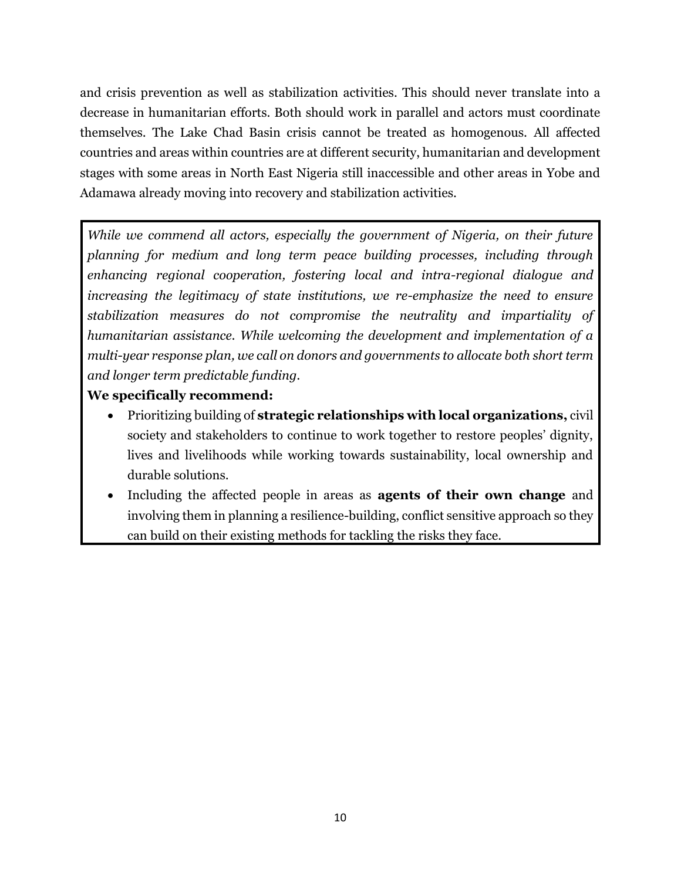and crisis prevention as well as stabilization activities. This should never translate into a decrease in humanitarian efforts. Both should work in parallel and actors must coordinate themselves. The Lake Chad Basin crisis cannot be treated as homogenous. All affected countries and areas within countries are at different security, humanitarian and development stages with some areas in North East Nigeria still inaccessible and other areas in Yobe and Adamawa already moving into recovery and stabilization activities.

*While we commend all actors, especially the government of Nigeria, on their future planning for medium and long term peace building processes, including through enhancing regional cooperation, fostering local and intra-regional dialogue and increasing the legitimacy of state institutions, we re-emphasize the need to ensure stabilization measures do not compromise the neutrality and impartiality of humanitarian assistance. While welcoming the development and implementation of a multi-year response plan, we call on donors and governments to allocate both short term and longer term predictable funding.* 

## **We specifically recommend:**

- Prioritizing building of **strategic relationships with local organizations,** civil society and stakeholders to continue to work together to restore peoples' dignity, lives and livelihoods while working towards sustainability, local ownership and durable solutions.
- Including the affected people in areas as **agents of their own change** and involving them in planning a resilience-building, conflict sensitive approach so they can build on their existing methods for tackling the risks they face.